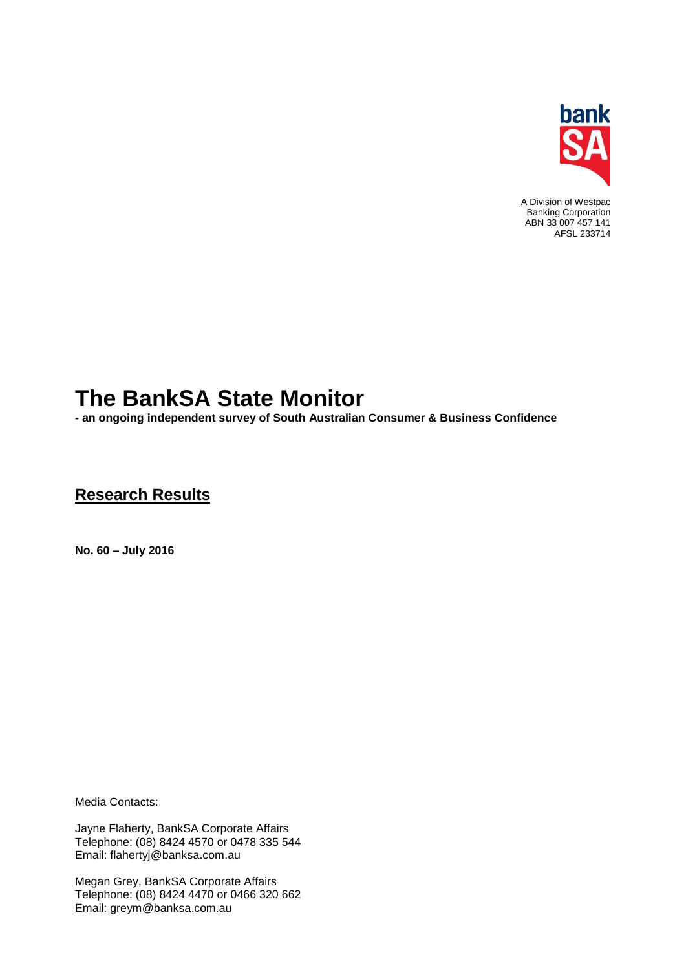

A Division of Westpac Banking Corporation ABN 33 007 457 141 AFSL 233714

# **The BankSA State Monitor**

**- an ongoing independent survey of South Australian Consumer & Business Confidence**

## **Research Results**

**No. 60 – July 2016**

Media Contacts:

Jayne Flaherty, BankSA Corporate Affairs Telephone: (08) 8424 4570 or 0478 335 544 Email: flahertyj@banksa.com.au

Megan Grey, BankSA Corporate Affairs Telephone: (08) 8424 4470 or 0466 320 662 Email: greym@banksa.com.au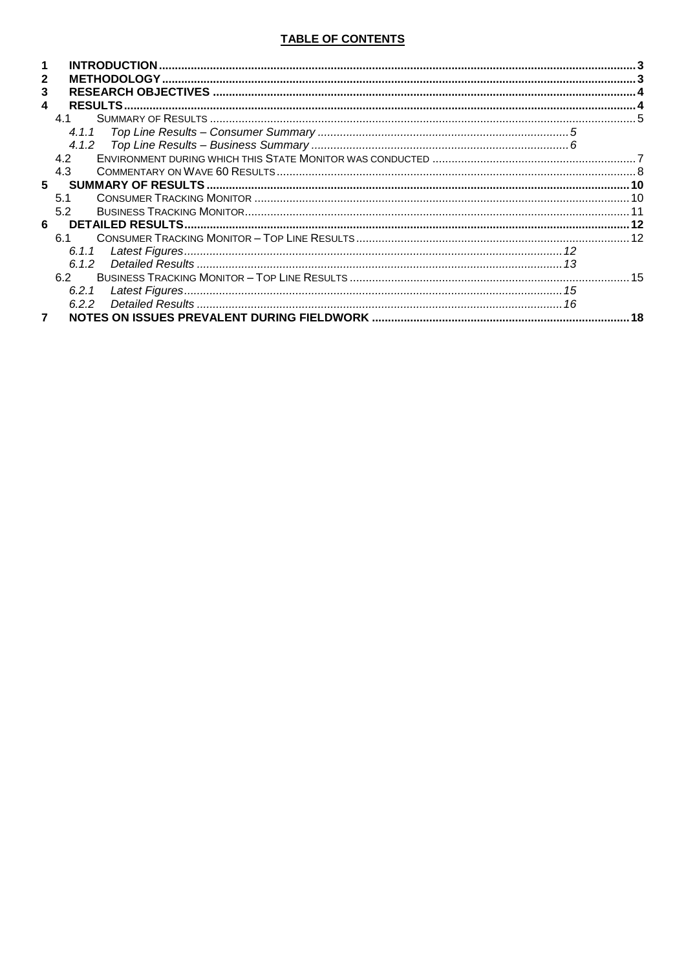### TABLE OF CONTENTS

| $\mathbf{2}$ |       |    |
|--------------|-------|----|
| 3            |       |    |
| 4            |       |    |
|              | 41    |    |
|              | 4.1.1 |    |
|              |       |    |
|              | 4.2   |    |
|              | 4.3   |    |
| 5            |       |    |
|              | 5.1   |    |
|              | 5.2   |    |
| 6            |       |    |
|              | 61    |    |
|              | 6.1.1 |    |
|              | 6.1.2 |    |
|              | 62    |    |
|              | 6.2.1 |    |
|              | 6.2.2 |    |
|              |       | 18 |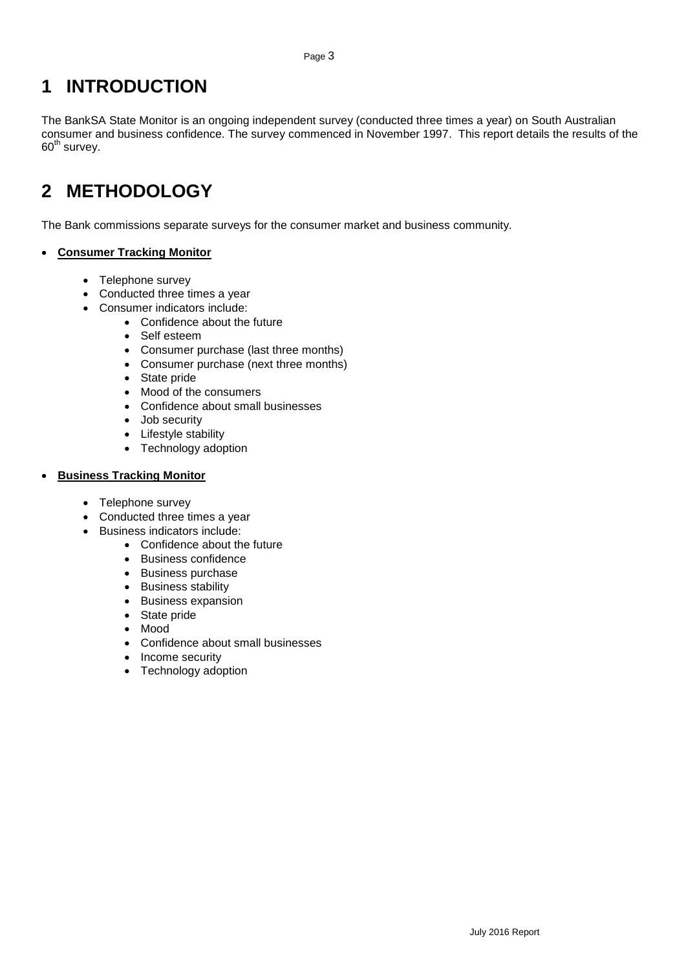## <span id="page-2-0"></span>**1 INTRODUCTION**

The BankSA State Monitor is an ongoing independent survey (conducted three times a year) on South Australian consumer and business confidence. The survey commenced in November 1997. This report details the results of the  $60<sup>th</sup>$  survey.

# <span id="page-2-1"></span>**2 METHODOLOGY**

The Bank commissions separate surveys for the consumer market and business community.

### **Consumer Tracking Monitor**

- Telephone survey
- Conducted three times a year
- Consumer indicators include:
	- Confidence about the future
	- Self esteem
	- Consumer purchase (last three months)
	- Consumer purchase (next three months)
	- State pride
	- Mood of the consumers
	- Confidence about small businesses
	- Job security
	- Lifestyle stability
	- Technology adoption

#### **Business Tracking Monitor**

- Telephone survey
- Conducted three times a year
- Business indicators include:
	- Confidence about the future
	- Business confidence
	- Business purchase
	- Business stability
	- **•** Business expansion
	- State pride
	- Mood
	- Confidence about small businesses
	- Income security
	- Technology adoption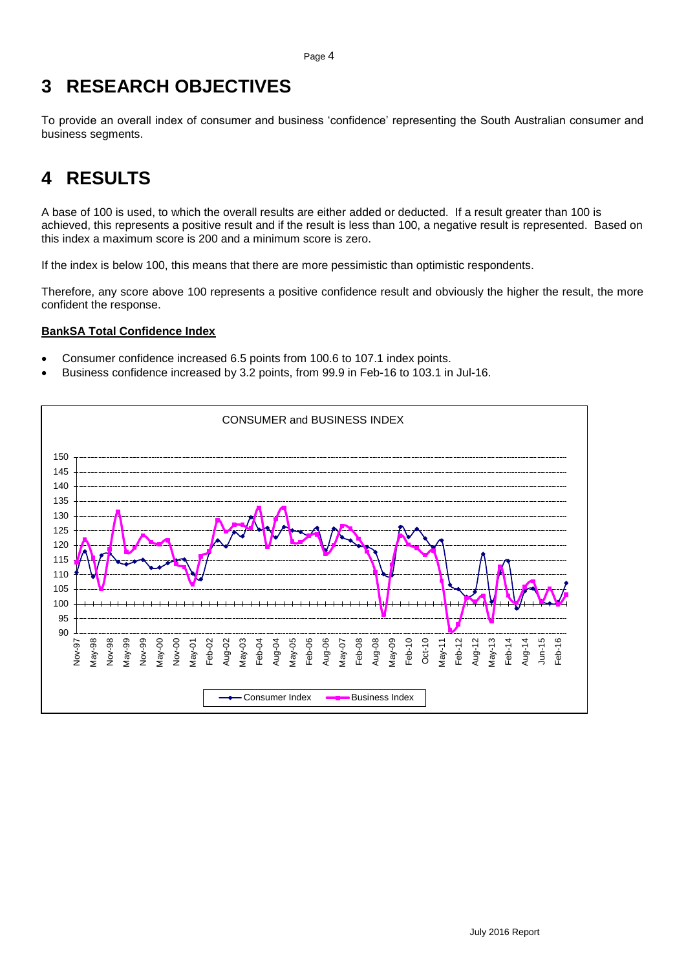## <span id="page-3-0"></span>**3 RESEARCH OBJECTIVES**

To provide an overall index of consumer and business 'confidence' representing the South Australian consumer and business segments.

# <span id="page-3-1"></span>**4 RESULTS**

A base of 100 is used, to which the overall results are either added or deducted. If a result greater than 100 is achieved, this represents a positive result and if the result is less than 100, a negative result is represented. Based on this index a maximum score is 200 and a minimum score is zero.

If the index is below 100, this means that there are more pessimistic than optimistic respondents.

Therefore, any score above 100 represents a positive confidence result and obviously the higher the result, the more confident the response.

### **BankSA Total Confidence Index**

- Consumer confidence increased 6.5 points from 100.6 to 107.1 index points.
- Business confidence increased by 3.2 points, from 99.9 in Feb-16 to 103.1 in Jul-16.

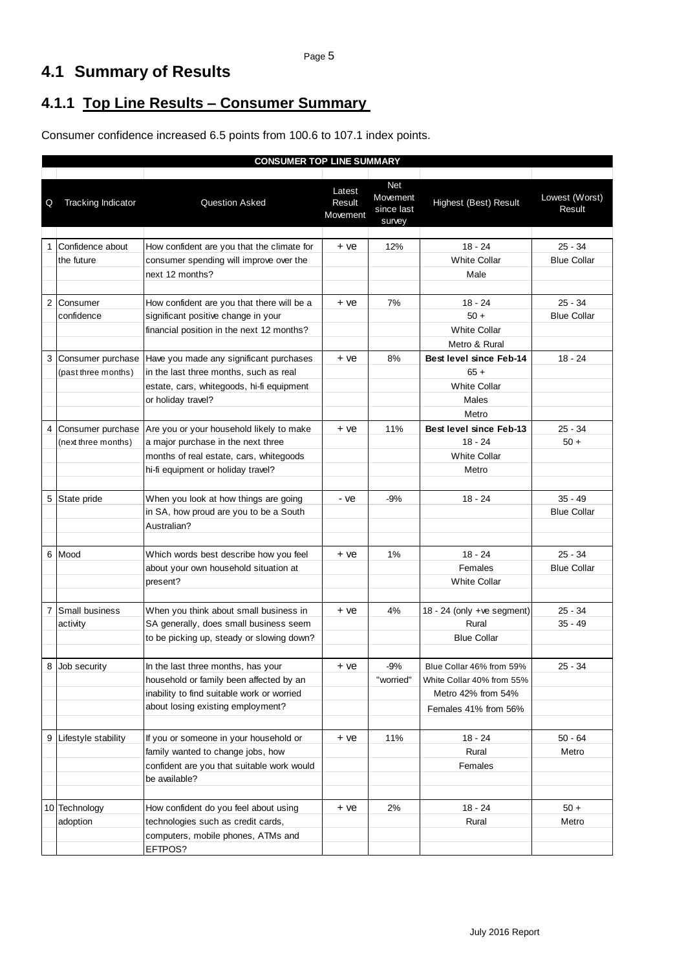## <span id="page-4-0"></span>**4.1 Summary of Results**

## <span id="page-4-1"></span>**4.1.1 Top Line Results – Consumer Summary**

Consumer confidence increased 6.5 points from 100.6 to 107.1 index points.

|                |                           | <b>CONSUMER TOP LINE SUMMARY</b>                                                |                              |                                                |                                |                          |
|----------------|---------------------------|---------------------------------------------------------------------------------|------------------------------|------------------------------------------------|--------------------------------|--------------------------|
| Q              | <b>Tracking Indicator</b> | Question Asked                                                                  | Latest<br>Result<br>Movement | <b>Net</b><br>Movement<br>since last<br>survey | Highest (Best) Result          | Lowest (Worst)<br>Result |
|                | Confidence about          | How confident are you that the climate for                                      | + ve                         | 12%                                            | $18 - 24$                      | $25 - 34$                |
|                | the future                | consumer spending will improve over the                                         |                              |                                                | <b>White Collar</b>            | <b>Blue Collar</b>       |
|                |                           | next 12 months?                                                                 |                              |                                                | Male                           |                          |
|                |                           |                                                                                 |                              |                                                |                                |                          |
| 2              | Consumer                  | How confident are you that there will be a                                      | + ve                         | 7%                                             | $18 - 24$                      | 25 - 34                  |
|                | confidence                | significant positive change in your                                             |                              |                                                | $50 +$                         | <b>Blue Collar</b>       |
|                |                           | financial position in the next 12 months?                                       |                              |                                                | White Collar                   |                          |
|                |                           |                                                                                 |                              |                                                | Metro & Rural                  |                          |
| 3              | Consumer purchase         | Have you made any significant purchases                                         | + ve                         | 8%                                             | Best level since Feb-14        | $18 - 24$                |
|                | (past three months)       | in the last three months, such as real                                          |                              |                                                | $65 +$                         |                          |
|                |                           | estate, cars, whitegoods, hi-fi equipment                                       |                              |                                                | <b>White Collar</b>            |                          |
|                |                           | or holiday travel?                                                              |                              |                                                | Males                          |                          |
|                |                           |                                                                                 |                              |                                                | Metro                          |                          |
| 4              | Consumer purchase         | Are you or your household likely to make                                        | + ve                         | 11%                                            | <b>Best level since Feb-13</b> | $25 - 34$                |
|                | (next three months)       | a major purchase in the next three                                              |                              |                                                | $18 - 24$                      | $50 +$                   |
|                |                           | months of real estate, cars, whitegoods                                         |                              |                                                | <b>White Collar</b>            |                          |
|                |                           | hi-fi equipment or holiday travel?                                              |                              |                                                | Metro                          |                          |
|                |                           |                                                                                 |                              |                                                |                                |                          |
| 5              | State pride               | When you look at how things are going                                           | - ve                         | $-9%$                                          | $18 - 24$                      | $35 - 49$                |
|                |                           | in SA, how proud are you to be a South                                          |                              |                                                |                                | <b>Blue Collar</b>       |
|                |                           | Australian?                                                                     |                              |                                                |                                |                          |
| 6              | Mood                      |                                                                                 | + ve                         | 1%                                             | $18 - 24$                      | $25 - 34$                |
|                |                           | Which words best describe how you feel<br>about your own household situation at |                              |                                                | Females                        | <b>Blue Collar</b>       |
|                |                           | present?                                                                        |                              |                                                | <b>White Collar</b>            |                          |
|                |                           |                                                                                 |                              |                                                |                                |                          |
| $\overline{7}$ | Small business            | When you think about small business in                                          | + ve                         | 4%                                             | 18 - 24 (only +ve segment)     | $25 - 34$                |
|                | activity                  | SA generally, does small business seem                                          |                              |                                                | Rural                          | $35 - 49$                |
|                |                           | to be picking up, steady or slowing down?                                       |                              |                                                | <b>Blue Collar</b>             |                          |
|                |                           |                                                                                 |                              |                                                |                                |                          |
| 8              | Job securitv              | In the last three months, has your                                              | + ve                         | -9%                                            | Blue Collar 46% from 59%       | $25 - 34$                |
|                |                           | household or family been affected by an                                         |                              | "worried"                                      | White Collar 40% from 55%      |                          |
|                |                           | inability to find suitable work or worried                                      |                              |                                                | Metro 42% from 54%             |                          |
|                |                           | about losing existing employment?                                               |                              |                                                | Females 41% from 56%           |                          |
|                |                           |                                                                                 |                              |                                                |                                |                          |
| 9              | Lifestyle stability       | If you or someone in your household or                                          | + ve                         | 11%                                            | $18 - 24$                      | $50 - 64$                |
|                |                           | family wanted to change jobs, how                                               |                              |                                                | Rural                          | Metro                    |
|                |                           | confident are you that suitable work would                                      |                              |                                                | Females                        |                          |
|                |                           | be available?                                                                   |                              |                                                |                                |                          |
|                |                           |                                                                                 |                              |                                                |                                |                          |
|                | 10 Technology             | How confident do you feel about using                                           | + ve                         | 2%                                             | $18 - 24$                      | $50 +$                   |
|                | adoption                  | technologies such as credit cards,                                              |                              |                                                | Rural                          | Metro                    |
|                |                           | computers, mobile phones, ATMs and                                              |                              |                                                |                                |                          |
|                |                           | EFTPOS?                                                                         |                              |                                                |                                |                          |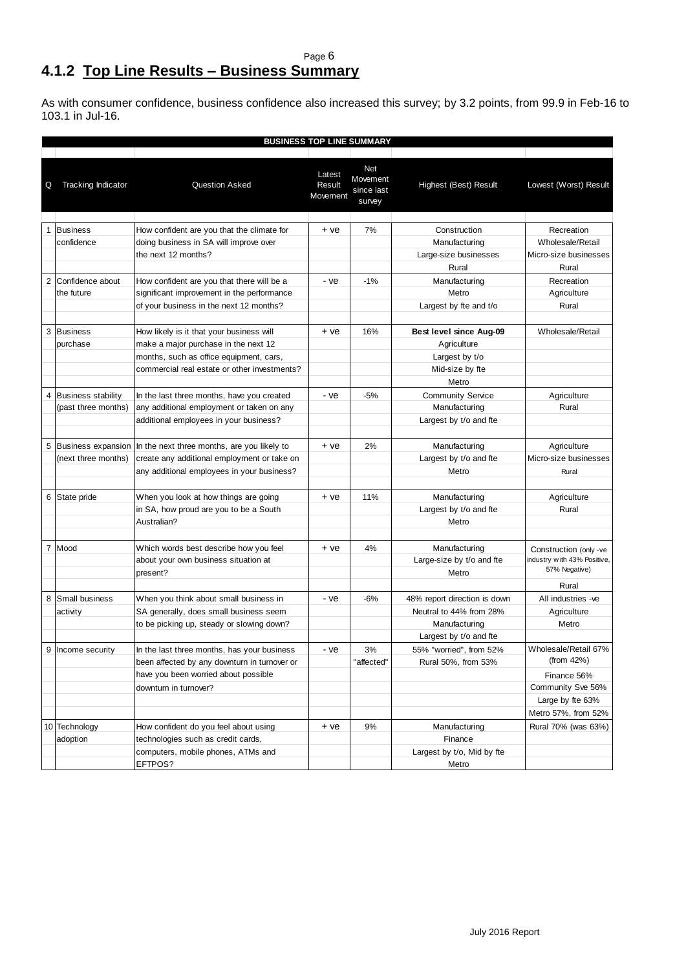### <span id="page-5-0"></span>Page 6 **4.1.2 Top Line Results – Business Summary**

As with consumer confidence, business confidence also increased this survey; by 3.2 points, from 99.9 in Feb-16 to 103.1 in Jul-16.

|   | <b>BUSINESS TOP LINE SUMMARY</b> |                                              |                              |                                                |                              |                              |  |  |
|---|----------------------------------|----------------------------------------------|------------------------------|------------------------------------------------|------------------------------|------------------------------|--|--|
| Q | <b>Tracking Indicator</b>        | Question Asked                               | Latest<br>Result<br>Movement | <b>Net</b><br>Movement<br>since last<br>survey | Highest (Best) Result        | Lowest (Worst) Result        |  |  |
|   | 1 Business                       | How confident are you that the climate for   | + ye                         | 7%                                             | Construction                 | Recreation                   |  |  |
|   | confidence                       | doing business in SA will improve over       |                              |                                                | Manufacturing                | Wholesale/Retail             |  |  |
|   |                                  | the next 12 months?                          |                              |                                                | Large-size businesses        | Micro-size businesses        |  |  |
|   |                                  |                                              |                              |                                                | Rural                        | Rural                        |  |  |
| 2 | Confidence about                 | How confident are you that there will be a   | - ve                         | $-1%$                                          | Manufacturing                | Recreation                   |  |  |
|   | the future                       | significant improvement in the performance   |                              |                                                | Metro                        | Agriculture                  |  |  |
|   |                                  | of your business in the next 12 months?      |                              |                                                | Largest by fte and t/o       | Rural                        |  |  |
|   |                                  |                                              |                              |                                                |                              |                              |  |  |
| 3 | <b>Business</b>                  | How likely is it that your business will     | $+ve$                        | 16%                                            | Best level since Aug-09      | Wholesale/Retail             |  |  |
|   | purchase                         | make a major purchase in the next 12         |                              |                                                | Agriculture                  |                              |  |  |
|   |                                  | months, such as office equipment, cars,      |                              |                                                | Largest by t/o               |                              |  |  |
|   |                                  | commercial real estate or other investments? |                              |                                                | Mid-size by fte              |                              |  |  |
|   |                                  |                                              |                              |                                                | Metro                        |                              |  |  |
|   | 4 Business stability             | In the last three months, have you created   | - ve                         | $-5%$                                          | <b>Community Service</b>     | Agriculture                  |  |  |
|   | (past three months)              | any additional employment or taken on any    |                              |                                                | Manufacturing                | Rural                        |  |  |
|   |                                  | additional employees in your business?       |                              |                                                | Largest by t/o and fte       |                              |  |  |
|   |                                  |                                              |                              |                                                |                              |                              |  |  |
| 5 | <b>Business expansion</b>        | In the next three months, are you likely to  | + ve                         | 2%                                             | Manufacturing                | Agriculture                  |  |  |
|   | (next three months)              | create any additional employment or take on  |                              |                                                | Largest by t/o and fte       | Micro-size businesses        |  |  |
|   |                                  | any additional employees in your business?   |                              |                                                | Metro                        | Rural                        |  |  |
|   | 6 State pride                    | When you look at how things are going        | $+ve$                        | 11%                                            | Manufacturing                | Agriculture                  |  |  |
|   |                                  | in SA, how proud are you to be a South       |                              |                                                | Largest by t/o and fte       | Rural                        |  |  |
|   |                                  | Australian?                                  |                              |                                                | Metro                        |                              |  |  |
|   |                                  |                                              |                              |                                                |                              |                              |  |  |
|   | 7 Mood                           | Which words best describe how you feel       | + ye                         | 4%                                             | Manufacturing                | Construction (only -ve       |  |  |
|   |                                  | about your own business situation at         |                              |                                                | Large-size by t/o and fte    | industry w ith 43% Positive, |  |  |
|   |                                  | present?                                     |                              |                                                | Metro                        | 57% Negative)                |  |  |
|   |                                  |                                              |                              |                                                |                              | Rural                        |  |  |
| 8 | Small business                   | When you think about small business in       | - ve                         | -6%                                            | 48% report direction is down | All industries -ve           |  |  |
|   | activity                         | SA generally, does small business seem       |                              |                                                | Neutral to 44% from 28%      | Agriculture                  |  |  |
|   |                                  | to be picking up, steady or slowing down?    |                              |                                                | Manufacturing                | Metro                        |  |  |
|   |                                  |                                              |                              |                                                | Largest by t/o and fte       |                              |  |  |
| 9 | Income security                  | In the last three months, has your business  | - ve                         | 3%                                             | 55% "worried", from 52%      | Wholesale/Retail 67%         |  |  |
|   |                                  | been affected by any downturn in turnover or |                              | "affected"                                     | Rural 50%, from 53%          | (from $42\%$ )               |  |  |
|   |                                  | have you been worried about possible         |                              |                                                |                              | Finance 56%                  |  |  |
|   |                                  | downturn in turnover?                        |                              |                                                |                              | Community Sve 56%            |  |  |
|   |                                  |                                              |                              |                                                |                              | Large by fte 63%             |  |  |
|   |                                  |                                              |                              |                                                |                              | Metro 57%, from 52%          |  |  |
|   | 10 Technology                    | How confident do you feel about using        | + ve                         | 9%                                             | Manufacturing                | Rural 70% (was 63%)          |  |  |
|   | adoption                         | technologies such as credit cards,           |                              |                                                | Finance                      |                              |  |  |
|   |                                  | computers, mobile phones, ATMs and           |                              |                                                | Largest by t/o, Mid by fte   |                              |  |  |
|   |                                  | EFTPOS?                                      |                              |                                                | Metro                        |                              |  |  |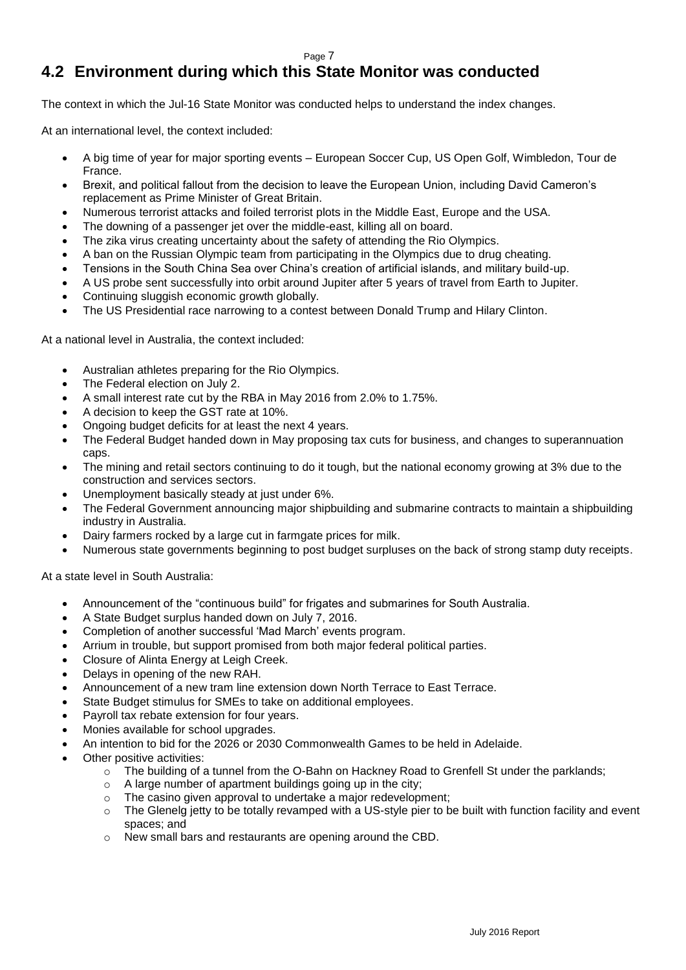## <span id="page-6-0"></span>**4.2 Environment during which this State Monitor was conducted**

The context in which the Jul-16 State Monitor was conducted helps to understand the index changes.

At an international level, the context included:

- A big time of year for major sporting events European Soccer Cup, US Open Golf, Wimbledon, Tour de France.
- Brexit, and political fallout from the decision to leave the European Union, including David Cameron's replacement as Prime Minister of Great Britain.
- Numerous terrorist attacks and foiled terrorist plots in the Middle East, Europe and the USA.
- The downing of a passenger jet over the middle-east, killing all on board.
- The zika virus creating uncertainty about the safety of attending the Rio Olympics.
- A ban on the Russian Olympic team from participating in the Olympics due to drug cheating.
- Tensions in the South China Sea over China's creation of artificial islands, and military build-up.
- A US probe sent successfully into orbit around Jupiter after 5 years of travel from Earth to Jupiter.
- Continuing sluggish economic growth globally.
- The US Presidential race narrowing to a contest between Donald Trump and Hilary Clinton.

At a national level in Australia, the context included:

- Australian athletes preparing for the Rio Olympics.
- The Federal election on July 2.
- A small interest rate cut by the RBA in May 2016 from 2.0% to 1.75%.
- A decision to keep the GST rate at 10%.
- Ongoing budget deficits for at least the next 4 years.
- The Federal Budget handed down in May proposing tax cuts for business, and changes to superannuation caps.
- The mining and retail sectors continuing to do it tough, but the national economy growing at 3% due to the construction and services sectors.
- Unemployment basically steady at just under 6%.
- The Federal Government announcing major shipbuilding and submarine contracts to maintain a shipbuilding industry in Australia.
- Dairy farmers rocked by a large cut in farmgate prices for milk.
- Numerous state governments beginning to post budget surpluses on the back of strong stamp duty receipts.

At a state level in South Australia:

- Announcement of the "continuous build" for frigates and submarines for South Australia.
- A State Budget surplus handed down on July 7, 2016.
- Completion of another successful 'Mad March' events program.
- Arrium in trouble, but support promised from both major federal political parties.
- Closure of Alinta Energy at Leigh Creek.
- Delays in opening of the new RAH.
- Announcement of a new tram line extension down North Terrace to East Terrace.
- State Budget stimulus for SMEs to take on additional employees.
- Payroll tax rebate extension for four years.
- Monies available for school upgrades.
- An intention to bid for the 2026 or 2030 Commonwealth Games to be held in Adelaide.
- Other positive activities:
	- $\circ$  The building of a tunnel from the O-Bahn on Hackney Road to Grenfell St under the parklands;
	- o A large number of apartment buildings going up in the city;
	- o The casino given approval to undertake a major redevelopment;
	- o The Glenelg jetty to be totally revamped with a US-style pier to be built with function facility and event spaces; and
	- o New small bars and restaurants are opening around the CBD.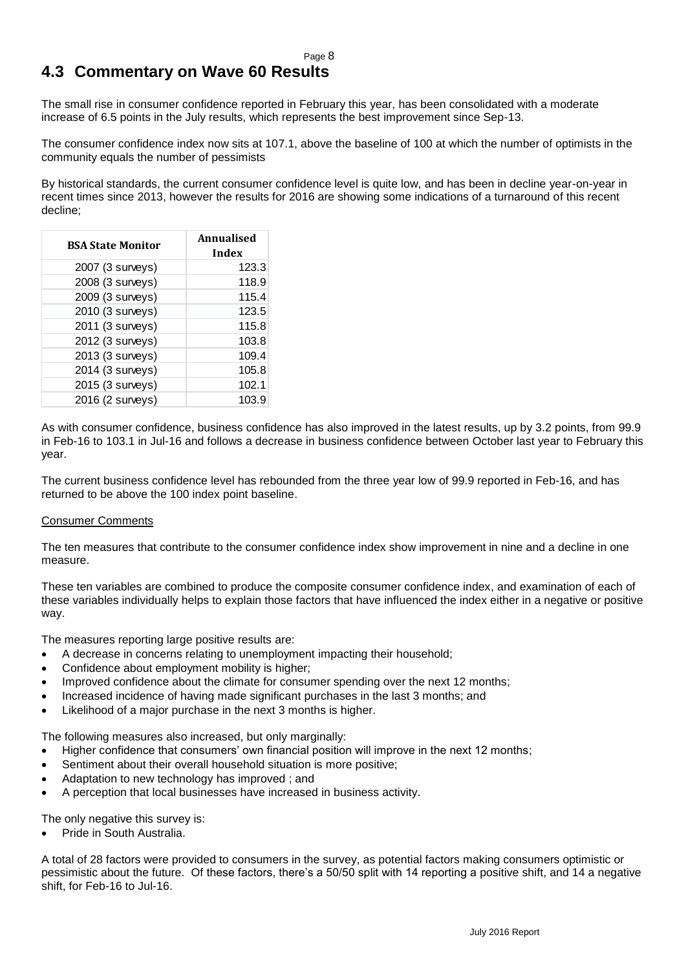## <span id="page-7-0"></span>**4.3 Commentary on Wave 60 Results**

The small rise in consumer confidence reported in February this year, has been consolidated with a moderate increase of 6.5 points in the July results, which represents the best improvement since Sep-13.

The consumer confidence index now sits at 107.1, above the baseline of 100 at which the number of optimists in the community equals the number of pessimists

By historical standards, the current consumer confidence level is quite low, and has been in decline year-on-year in recent times since 2013, however the results for 2016 are showing some indications of a turnaround of this recent decline;

| <b>BSA State Monitor</b> | Annualised<br>Index |
|--------------------------|---------------------|
| 2007 (3 surveys)         | 123.3               |
| 2008 (3 surveys)         | 118.9               |
| 2009 (3 surveys)         | 115.4               |
| 2010 (3 surveys)         | 123.5               |
| 2011 (3 surveys)         | 115.8               |
| 2012 (3 surveys)         | 103.8               |
| 2013 (3 surveys)         | 109.4               |
| 2014 (3 surveys)         | 105.8               |
| 2015 (3 surveys)         | 102.1               |
| 2016 (2 surveys)         | 103.9               |

As with consumer confidence, business confidence has also improved in the latest results, up by 3.2 points, from 99.9 in Feb-16 to 103.1 in Jul-16 and follows a decrease in business confidence between October last year to February this year.

The current business confidence level has rebounded from the three year low of 99.9 reported in Feb-16, and has returned to be above the 100 index point baseline.

#### Consumer Comments

The ten measures that contribute to the consumer confidence index show improvement in nine and a decline in one measure.

These ten variables are combined to produce the composite consumer confidence index, and examination of each of these variables individually helps to explain those factors that have influenced the index either in a negative or positive way.

The measures reporting large positive results are:

- A decrease in concerns relating to unemployment impacting their household;
- Confidence about employment mobility is higher;
- Improved confidence about the climate for consumer spending over the next 12 months;
- Increased incidence of having made significant purchases in the last 3 months; and
- Likelihood of a major purchase in the next 3 months is higher.

The following measures also increased, but only marginally:

- Higher confidence that consumers' own financial position will improve in the next 12 months;
- Sentiment about their overall household situation is more positive;
- Adaptation to new technology has improved ; and
- A perception that local businesses have increased in business activity.

The only negative this survey is:

Pride in South Australia.

A total of 28 factors were provided to consumers in the survey, as potential factors making consumers optimistic or pessimistic about the future. Of these factors, there's a 50/50 split with 14 reporting a positive shift, and 14 a negative shift, for Feb-16 to Jul-16.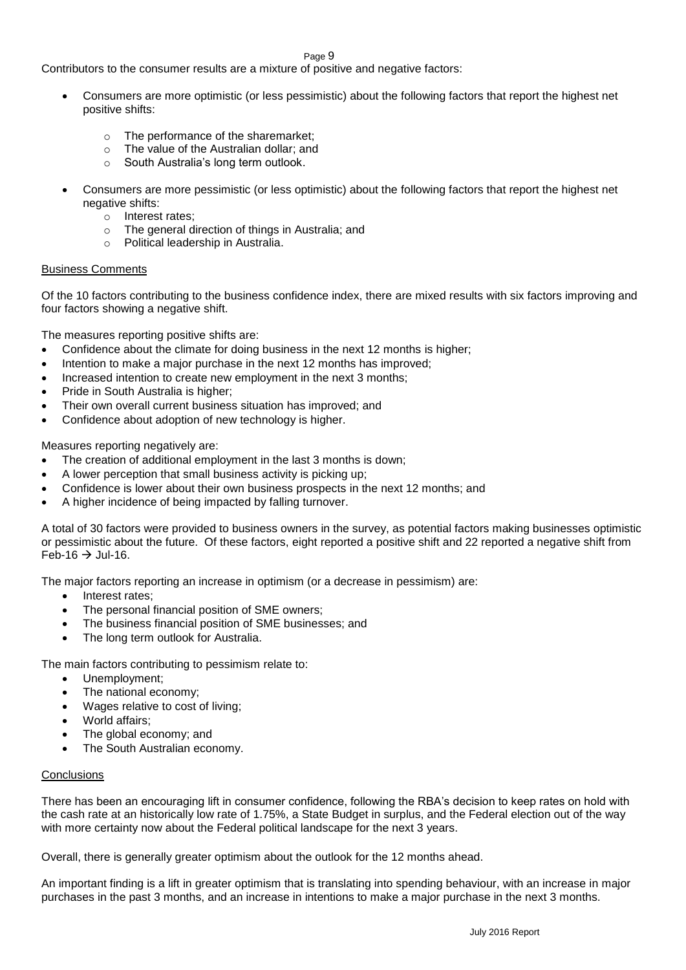Contributors to the consumer results are a mixture of positive and negative factors:

- Consumers are more optimistic (or less pessimistic) about the following factors that report the highest net positive shifts:
	- o The performance of the sharemarket;
	- o The value of the Australian dollar; and
	- o South Australia's long term outlook.
- Consumers are more pessimistic (or less optimistic) about the following factors that report the highest net negative shifts:
	- o Interest rates;
	- o The general direction of things in Australia; and
	- o Political leadership in Australia.

#### Business Comments

Of the 10 factors contributing to the business confidence index, there are mixed results with six factors improving and four factors showing a negative shift.

The measures reporting positive shifts are:

- Confidence about the climate for doing business in the next 12 months is higher;
- Intention to make a major purchase in the next 12 months has improved;
- Increased intention to create new employment in the next 3 months;
- Pride in South Australia is higher;
- Their own overall current business situation has improved; and
- Confidence about adoption of new technology is higher.

Measures reporting negatively are:

- The creation of additional employment in the last 3 months is down;
- A lower perception that small business activity is picking up;
- Confidence is lower about their own business prospects in the next 12 months; and
- A higher incidence of being impacted by falling turnover.

A total of 30 factors were provided to business owners in the survey, as potential factors making businesses optimistic or pessimistic about the future. Of these factors, eight reported a positive shift and 22 reported a negative shift from Feb-16  $\rightarrow$  Jul-16.

The major factors reporting an increase in optimism (or a decrease in pessimism) are:

- Interest rates:
- The personal financial position of SME owners;
- The business financial position of SME businesses; and
- The long term outlook for Australia.

The main factors contributing to pessimism relate to:

- Unemployment;
- The national economy;
- Wages relative to cost of living;
- World affairs;
- The global economy; and
- The South Australian economy.

#### **Conclusions**

There has been an encouraging lift in consumer confidence, following the RBA's decision to keep rates on hold with the cash rate at an historically low rate of 1.75%, a State Budget in surplus, and the Federal election out of the way with more certainty now about the Federal political landscape for the next 3 years.

Overall, there is generally greater optimism about the outlook for the 12 months ahead.

An important finding is a lift in greater optimism that is translating into spending behaviour, with an increase in major purchases in the past 3 months, and an increase in intentions to make a major purchase in the next 3 months.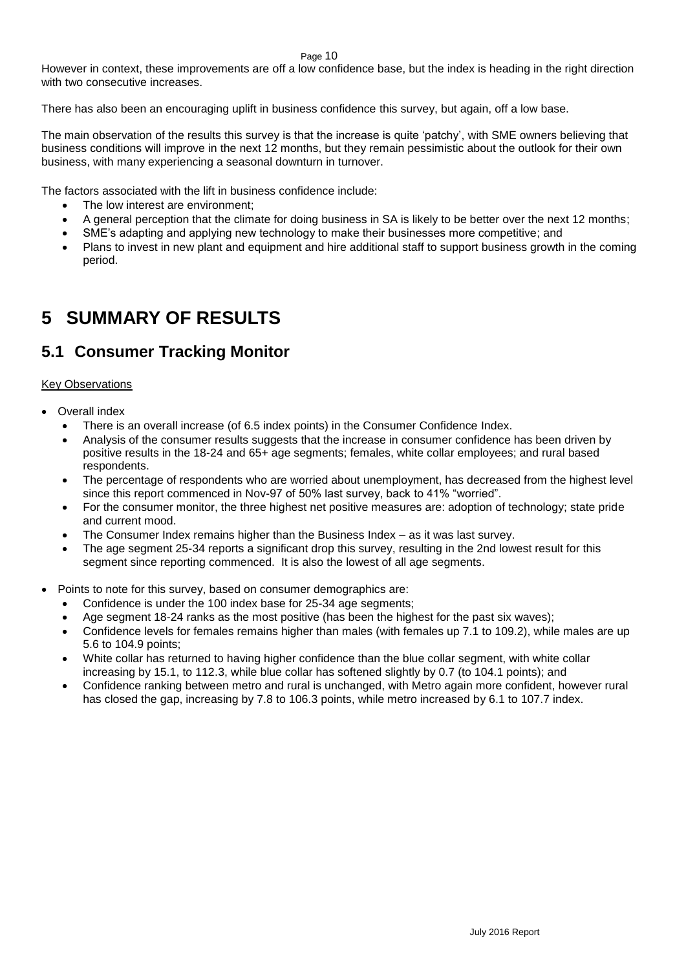However in context, these improvements are off a low confidence base, but the index is heading in the right direction with two consecutive increases.

There has also been an encouraging uplift in business confidence this survey, but again, off a low base.

The main observation of the results this survey is that the increase is quite 'patchy', with SME owners believing that business conditions will improve in the next 12 months, but they remain pessimistic about the outlook for their own business, with many experiencing a seasonal downturn in turnover.

The factors associated with the lift in business confidence include:

- The low interest are environment;
- A general perception that the climate for doing business in SA is likely to be better over the next 12 months;
- SME's adapting and applying new technology to make their businesses more competitive; and
- Plans to invest in new plant and equipment and hire additional staff to support business growth in the coming period.

## <span id="page-9-0"></span>**5 SUMMARY OF RESULTS**

## <span id="page-9-1"></span>**5.1 Consumer Tracking Monitor**

### **Key Observations**

- Overall index
	- There is an overall increase (of 6.5 index points) in the Consumer Confidence Index.
	- Analysis of the consumer results suggests that the increase in consumer confidence has been driven by positive results in the 18-24 and 65+ age segments; females, white collar employees; and rural based respondents.
	- The percentage of respondents who are worried about unemployment, has decreased from the highest level since this report commenced in Nov-97 of 50% last survey, back to 41% "worried".
	- For the consumer monitor, the three highest net positive measures are: adoption of technology; state pride and current mood.
	- The Consumer Index remains higher than the Business Index as it was last survey.
	- The age segment 25-34 reports a significant drop this survey, resulting in the 2nd lowest result for this segment since reporting commenced. It is also the lowest of all age segments.
- Points to note for this survey, based on consumer demographics are:
	- Confidence is under the 100 index base for 25-34 age segments;
	- Age segment 18-24 ranks as the most positive (has been the highest for the past six waves);
	- Confidence levels for females remains higher than males (with females up 7.1 to 109.2), while males are up 5.6 to 104.9 points;
	- White collar has returned to having higher confidence than the blue collar segment, with white collar increasing by 15.1, to 112.3, while blue collar has softened slightly by 0.7 (to 104.1 points); and
	- Confidence ranking between metro and rural is unchanged, with Metro again more confident, however rural has closed the gap, increasing by 7.8 to 106.3 points, while metro increased by 6.1 to 107.7 index.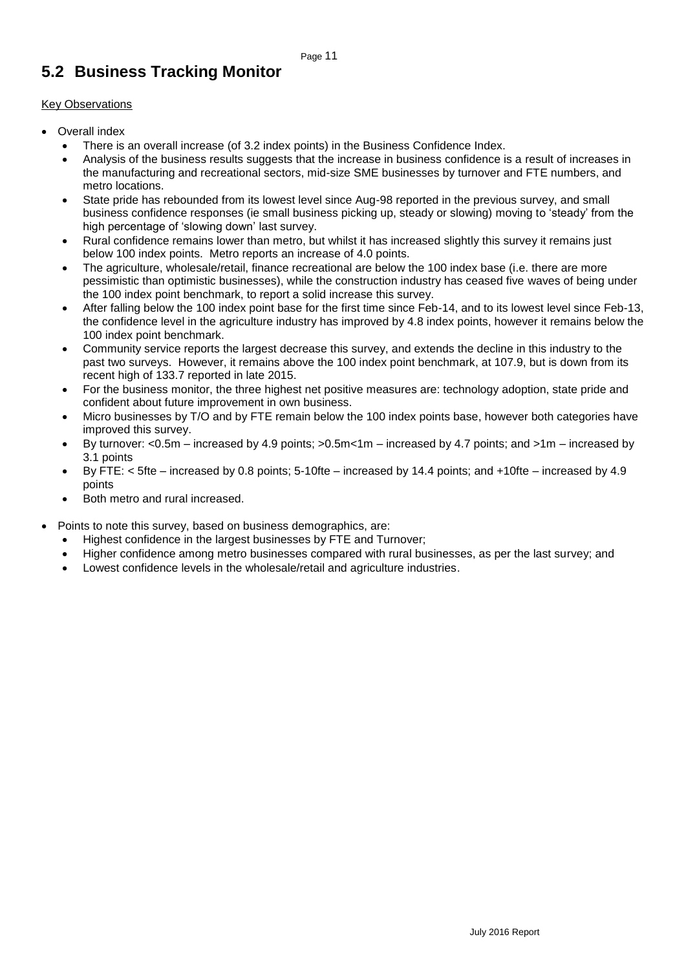## <span id="page-10-0"></span>**5.2 Business Tracking Monitor**

### Key Observations

- Overall index
	- There is an overall increase (of 3.2 index points) in the Business Confidence Index.
	- Analysis of the business results suggests that the increase in business confidence is a result of increases in the manufacturing and recreational sectors, mid-size SME businesses by turnover and FTE numbers, and metro locations.
	- State pride has rebounded from its lowest level since Aug-98 reported in the previous survey, and small business confidence responses (ie small business picking up, steady or slowing) moving to 'steady' from the high percentage of 'slowing down' last survey.
	- Rural confidence remains lower than metro, but whilst it has increased slightly this survey it remains just below 100 index points. Metro reports an increase of 4.0 points.
	- The agriculture, wholesale/retail, finance recreational are below the 100 index base (i.e. there are more pessimistic than optimistic businesses), while the construction industry has ceased five waves of being under the 100 index point benchmark, to report a solid increase this survey.
	- After falling below the 100 index point base for the first time since Feb-14, and to its lowest level since Feb-13, the confidence level in the agriculture industry has improved by 4.8 index points, however it remains below the 100 index point benchmark.
	- Community service reports the largest decrease this survey, and extends the decline in this industry to the past two surveys. However, it remains above the 100 index point benchmark, at 107.9, but is down from its recent high of 133.7 reported in late 2015.
	- For the business monitor, the three highest net positive measures are: technology adoption, state pride and confident about future improvement in own business.
	- Micro businesses by T/O and by FTE remain below the 100 index points base, however both categories have improved this survey.
	- By turnover: <0.5m increased by 4.9 points; >0.5m<1m increased by 4.7 points; and >1m increased by 3.1 points
	- By FTE: < 5fte increased by 0.8 points; 5-10fte increased by 14.4 points; and +10fte increased by 4.9 points
	- Both metro and rural increased.
- Points to note this survey, based on business demographics, are:
	- Highest confidence in the largest businesses by FTE and Turnover;
	- Higher confidence among metro businesses compared with rural businesses, as per the last survey; and
	- Lowest confidence levels in the wholesale/retail and agriculture industries.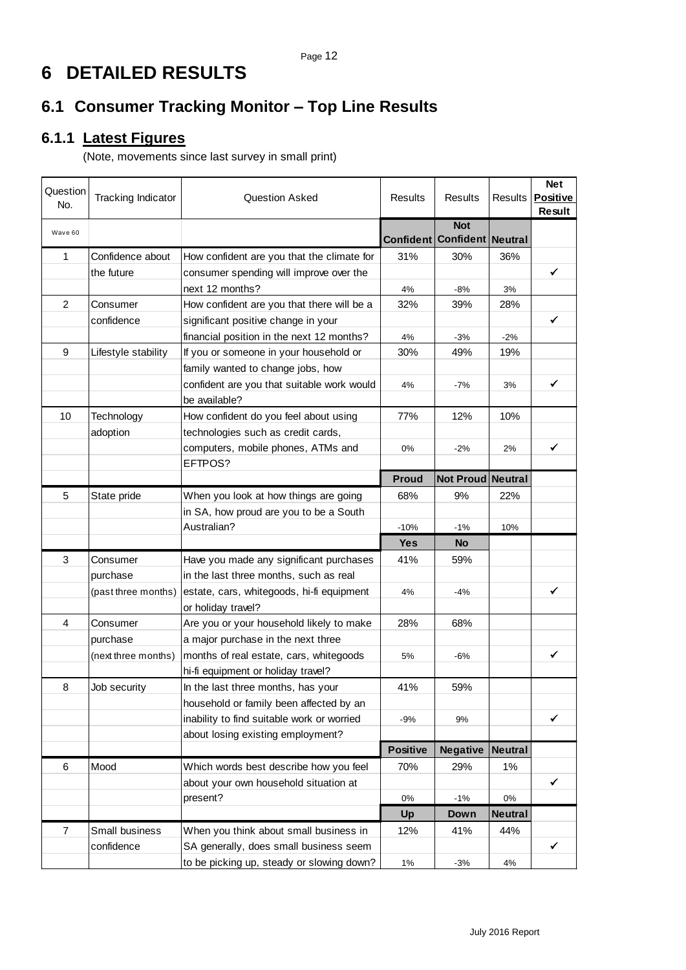# <span id="page-11-0"></span>**6 DETAILED RESULTS**

## <span id="page-11-1"></span>**6.1 Consumer Tracking Monitor – Top Line Results**

## <span id="page-11-2"></span>**6.1.1 Latest Figures**

(Note, movements since last survey in small print)

| Question<br>No. | Tracking Indicator  | <b>Question Asked</b>                      | <b>Results</b>   | Results                        | <b>Results</b> | <b>Net</b><br><b>Positive</b><br>Result |
|-----------------|---------------------|--------------------------------------------|------------------|--------------------------------|----------------|-----------------------------------------|
| Wave 60         |                     |                                            | <b>Confident</b> | <b>Not</b><br><b>Confident</b> | <b>Neutral</b> |                                         |
| 1               | Confidence about    | How confident are you that the climate for | 31%              | 30%                            | 36%            |                                         |
|                 | the future          | consumer spending will improve over the    |                  |                                |                | $\checkmark$                            |
|                 |                     | next 12 months?                            | 4%               | $-8%$                          | 3%             |                                         |
| $\overline{c}$  | Consumer            | How confident are you that there will be a | 32%              | 39%                            | 28%            |                                         |
|                 | confidence          | significant positive change in your        |                  |                                |                | ✓                                       |
|                 |                     | financial position in the next 12 months?  | 4%               | $-3%$                          | $-2%$          |                                         |
| 9               | Lifestyle stability | If you or someone in your household or     | 30%              | 49%                            | 19%            |                                         |
|                 |                     | family wanted to change jobs, how          |                  |                                |                |                                         |
|                 |                     | confident are you that suitable work would | 4%               | $-7%$                          | 3%             | ✓                                       |
|                 |                     | be available?                              |                  |                                |                |                                         |
| 10              | Technology          | How confident do you feel about using      | 77%              | 12%                            | 10%            |                                         |
|                 | adoption            | technologies such as credit cards,         |                  |                                |                |                                         |
|                 |                     | computers, mobile phones, ATMs and         | 0%               | $-2%$                          | 2%             | ✓                                       |
|                 |                     | EFTPOS?                                    |                  |                                |                |                                         |
|                 |                     |                                            | <b>Proud</b>     | Not Proud Neutral              |                |                                         |
| 5               | State pride         | When you look at how things are going      | 68%              | 9%                             | 22%            |                                         |
|                 |                     | in SA, how proud are you to be a South     |                  |                                |                |                                         |
|                 |                     | Australian?                                | $-10%$           | $-1%$                          | 10%            |                                         |
|                 |                     |                                            | <b>Yes</b>       | <b>No</b>                      |                |                                         |
| 3               | Consumer            | Have you made any significant purchases    | 41%              | 59%                            |                |                                         |
|                 | purchase            | in the last three months, such as real     |                  |                                |                |                                         |
|                 | (past three months) | estate, cars, whitegoods, hi-fi equipment  | 4%               | $-4%$                          |                | ✓                                       |
|                 |                     | or holiday travel?                         |                  |                                |                |                                         |
| 4               | Consumer            | Are you or your household likely to make   | 28%              | 68%                            |                |                                         |
|                 | purchase            | a major purchase in the next three         |                  |                                |                |                                         |
|                 | (next three months) | months of real estate, cars, whitegoods    | 5%               | $-6%$                          |                | ✓                                       |
|                 |                     | hi-fi equipment or holiday travel?         |                  |                                |                |                                         |
| 8               | Job security        | In the last three months, has your         | 41%              | 59%                            |                |                                         |
|                 |                     | household or family been affected by an    |                  |                                |                |                                         |
|                 |                     | inability to find suitable work or worried | -9%              | 9%                             |                | ✓                                       |
|                 |                     | about losing existing employment?          |                  |                                |                |                                         |
|                 |                     |                                            | <b>Positive</b>  | <b>Negative</b>                | <b>Neutral</b> |                                         |
| 6               | Mood                | Which words best describe how you feel     | 70%              | 29%                            | 1%             |                                         |
|                 |                     | about your own household situation at      |                  |                                |                | ✓                                       |
|                 |                     | present?                                   | 0%               | $-1%$                          | $0\%$          |                                         |
|                 |                     |                                            | Up               | Down                           | <b>Neutral</b> |                                         |
| $\overline{7}$  | Small business      | When you think about small business in     | 12%              | 41%                            | 44%            |                                         |
|                 | confidence          | SA generally, does small business seem     |                  |                                |                | ✓                                       |
|                 |                     | to be picking up, steady or slowing down?  | 1%               | $-3%$                          | 4%             |                                         |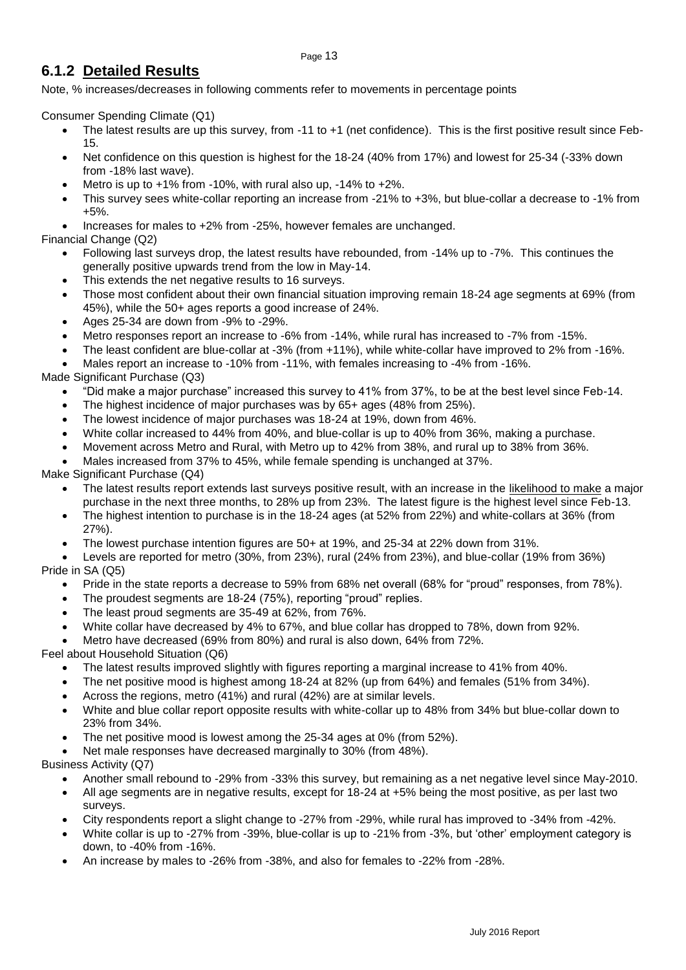### <span id="page-12-0"></span>**6.1.2 Detailed Results**

Note, % increases/decreases in following comments refer to movements in percentage points

Consumer Spending Climate (Q1)

- The latest results are up this survey, from -11 to +1 (net confidence). This is the first positive result since Feb-15.
- Net confidence on this question is highest for the 18-24 (40% from 17%) and lowest for 25-34 (-33% down from -18% last wave).
- Metro is up to +1% from -10%, with rural also up, -14% to +2%.
- This survey sees white-collar reporting an increase from -21% to +3%, but blue-collar a decrease to -1% from +5%.
- Increases for males to +2% from -25%, however females are unchanged.

### Financial Change (Q2)

- Following last surveys drop, the latest results have rebounded, from -14% up to -7%. This continues the generally positive upwards trend from the low in May-14.
- This extends the net negative results to 16 surveys.
- Those most confident about their own financial situation improving remain 18-24 age segments at 69% (from 45%), while the 50+ ages reports a good increase of 24%.
- Ages 25-34 are down from -9% to -29%.
- Metro responses report an increase to -6% from -14%, while rural has increased to -7% from -15%.
- The least confident are blue-collar at -3% (from +11%), while white-collar have improved to 2% from -16%.
- Males report an increase to -10% from -11%, with females increasing to -4% from -16%.

### Made Significant Purchase (Q3)

- "Did make a major purchase" increased this survey to 41% from 37%, to be at the best level since Feb-14.
- The highest incidence of major purchases was by 65+ ages (48% from 25%).
- The lowest incidence of major purchases was 18-24 at 19%, down from 46%.
- White collar increased to 44% from 40%, and blue-collar is up to 40% from 36%, making a purchase.
- Movement across Metro and Rural, with Metro up to 42% from 38%, and rural up to 38% from 36%.
- Males increased from 37% to 45%, while female spending is unchanged at 37%.

### Make Significant Purchase (Q4)

- The latest results report extends last surveys positive result, with an increase in the likelihood to make a major purchase in the next three months, to 28% up from 23%. The latest figure is the highest level since Feb-13.
- The highest intention to purchase is in the 18-24 ages (at 52% from 22%) and white-collars at 36% (from 27%).
- The lowest purchase intention figures are 50+ at 19%, and 25-34 at 22% down from 31%.
- Levels are reported for metro (30%, from 23%), rural (24% from 23%), and blue-collar (19% from 36%) Pride in SA (Q5)
	- Pride in the state reports a decrease to 59% from 68% net overall (68% for "proud" responses, from 78%).
	- The proudest segments are 18-24 (75%), reporting "proud" replies.
	- The least proud segments are 35-49 at 62%, from 76%.
	- White collar have decreased by 4% to 67%, and blue collar has dropped to 78%, down from 92%.
	- Metro have decreased (69% from 80%) and rural is also down, 64% from 72%.

Feel about Household Situation (Q6)

- The latest results improved slightly with figures reporting a marginal increase to 41% from 40%.
- The net positive mood is highest among 18-24 at 82% (up from 64%) and females (51% from 34%).
- Across the regions, metro (41%) and rural (42%) are at similar levels.
- White and blue collar report opposite results with white-collar up to 48% from 34% but blue-collar down to 23% from 34%.
- The net positive mood is lowest among the 25-34 ages at 0% (from 52%).
- Net male responses have decreased marginally to 30% (from 48%).

Business Activity (Q7)

- Another small rebound to -29% from -33% this survey, but remaining as a net negative level since May-2010.
- All age segments are in negative results, except for 18-24 at +5% being the most positive, as per last two surveys.
- City respondents report a slight change to -27% from -29%, while rural has improved to -34% from -42%.
- White collar is up to -27% from -39%, blue-collar is up to -21% from -3%, but 'other' employment category is down, to -40% from -16%.
- An increase by males to -26% from -38%, and also for females to -22% from -28%.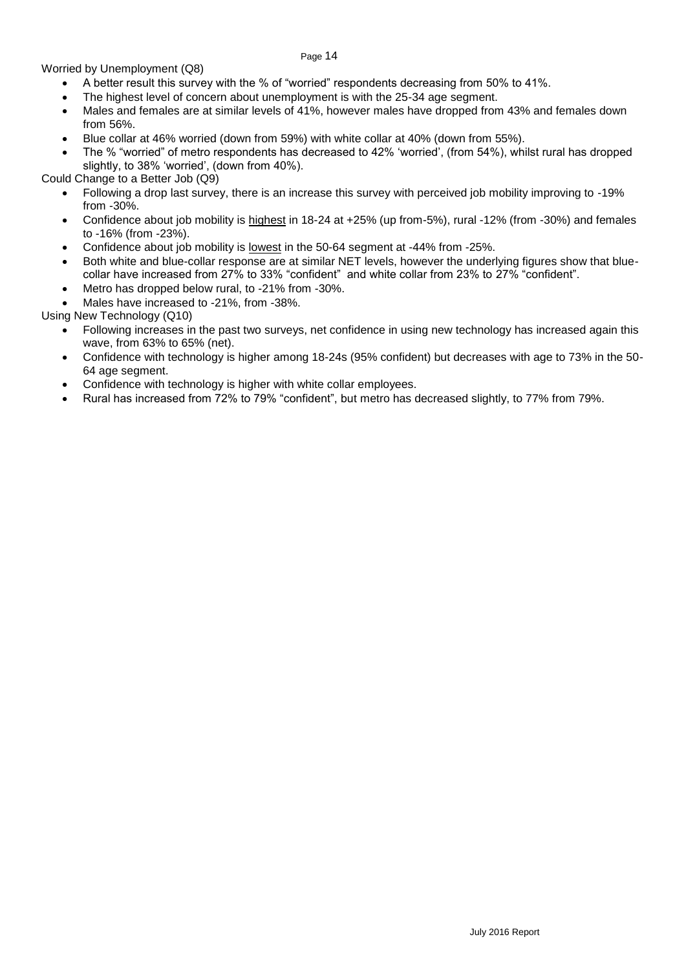Worried by Unemployment (Q8)

- A better result this survey with the % of "worried" respondents decreasing from 50% to 41%.
- The highest level of concern about unemployment is with the 25-34 age segment.
- Males and females are at similar levels of 41%, however males have dropped from 43% and females down from 56%.
- Blue collar at 46% worried (down from 59%) with white collar at 40% (down from 55%).
- The % "worried" of metro respondents has decreased to 42% 'worried', (from 54%), whilst rural has dropped slightly, to 38% 'worried', (down from 40%).

Could Change to a Better Job (Q9)

- Following a drop last survey, there is an increase this survey with perceived job mobility improving to -19% from -30%.
- Confidence about job mobility is highest in 18-24 at +25% (up from-5%), rural -12% (from -30%) and females to -16% (from -23%).
- Confidence about job mobility is lowest in the 50-64 segment at -44% from -25%.
- Both white and blue-collar response are at similar NET levels, however the underlying figures show that bluecollar have increased from 27% to 33% "confident" and white collar from 23% to 27% "confident".
- Metro has dropped below rural, to -21% from -30%.
- Males have increased to -21%, from -38%.

Using New Technology (Q10)

- Following increases in the past two surveys, net confidence in using new technology has increased again this wave, from 63% to 65% (net).
- Confidence with technology is higher among 18-24s (95% confident) but decreases with age to 73% in the 50- 64 age segment.
- Confidence with technology is higher with white collar employees.
- Rural has increased from 72% to 79% "confident", but metro has decreased slightly, to 77% from 79%.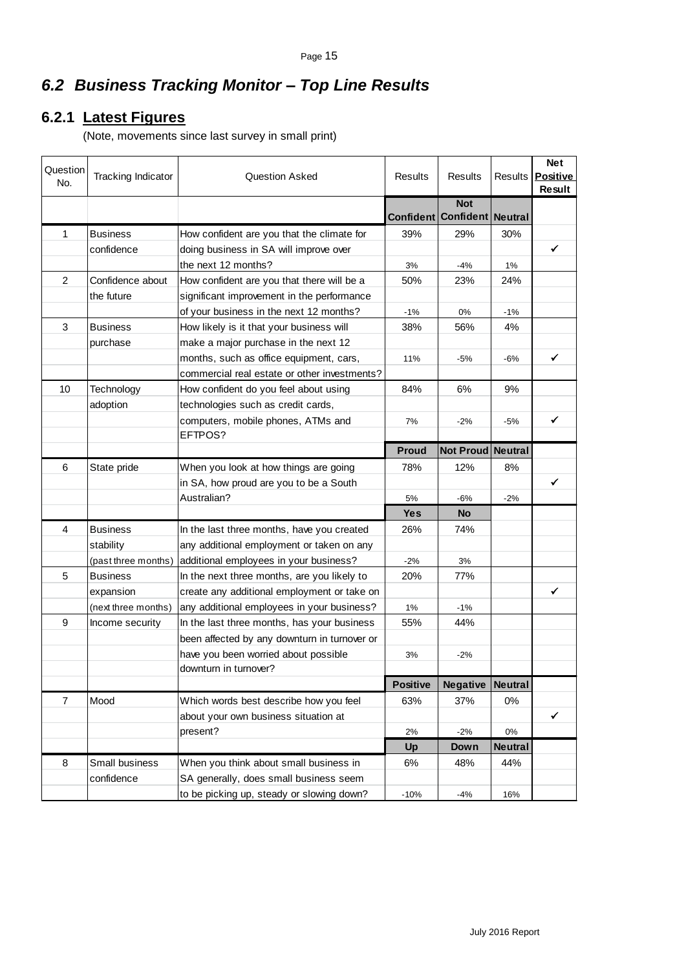## <span id="page-14-0"></span>*6.2 Business Tracking Monitor – Top Line Results*

## <span id="page-14-1"></span>**6.2.1 Latest Figures**

(Note, movements since last survey in small print)

| Question<br>No. | Tracking Indicator  | <b>Question Asked</b>                        | <b>Results</b>   | <b>Results</b>                 | <b>Results</b> | <b>Net</b><br><b>Positive</b><br><b>Result</b> |
|-----------------|---------------------|----------------------------------------------|------------------|--------------------------------|----------------|------------------------------------------------|
|                 |                     |                                              | <b>Confident</b> | <b>Not</b><br><b>Confident</b> | <b>Neutral</b> |                                                |
| 1               | <b>Business</b>     | How confident are you that the climate for   | 39%              | 29%                            | 30%            |                                                |
|                 | confidence          | doing business in SA will improve over       |                  |                                |                | ✓                                              |
|                 |                     | the next 12 months?                          | 3%               | $-4%$                          | $1\%$          |                                                |
| $\overline{2}$  | Confidence about    | How confident are you that there will be a   | 50%              | 23%                            | 24%            |                                                |
|                 | the future          | significant improvement in the performance   |                  |                                |                |                                                |
|                 |                     | of your business in the next 12 months?      | $-1%$            | 0%                             | $-1%$          |                                                |
| 3               | <b>Business</b>     | How likely is it that your business will     | 38%              | 56%                            | 4%             |                                                |
|                 | purchase            | make a major purchase in the next 12         |                  |                                |                |                                                |
|                 |                     | months, such as office equipment, cars,      | 11%              | $-5%$                          | $-6%$          | ✓                                              |
|                 |                     | commercial real estate or other investments? |                  |                                |                |                                                |
| 10              | Technology          | How confident do you feel about using        | 84%              | 6%                             | 9%             |                                                |
|                 | adoption            | technologies such as credit cards,           |                  |                                |                |                                                |
|                 |                     | computers, mobile phones, ATMs and           | 7%               | $-2%$                          | -5%            | ✓                                              |
|                 |                     | EFTPOS?                                      |                  |                                |                |                                                |
|                 |                     |                                              | <b>Proud</b>     | Not Proud Neutral              |                |                                                |
| 6               | State pride         | When you look at how things are going        | 78%              | 12%                            | 8%             |                                                |
|                 |                     | in SA, how proud are you to be a South       |                  |                                |                | ✓                                              |
|                 |                     | Australian?                                  | 5%               | $-6%$                          | $-2%$          |                                                |
|                 |                     |                                              | <b>Yes</b>       | <b>No</b>                      |                |                                                |
| 4               | <b>Business</b>     | In the last three months, have you created   | 26%              | 74%                            |                |                                                |
|                 | stability           | any additional employment or taken on any    |                  |                                |                |                                                |
|                 | (past three months) | additional employees in your business?       | $-2%$            | 3%                             |                |                                                |
| 5               | <b>Business</b>     | In the next three months, are you likely to  | 20%              | 77%                            |                |                                                |
|                 | expansion           | create any additional employment or take on  |                  |                                |                | ✓                                              |
|                 | (next three months) | any additional employees in your business?   | 1%               | $-1\%$                         |                |                                                |
| 9               | Income security     | In the last three months, has your business  | 55%              | 44%                            |                |                                                |
|                 |                     | been affected by any downturn in turnover or |                  |                                |                |                                                |
|                 |                     | have you been worried about possible         | 3%               | $-2%$                          |                |                                                |
|                 |                     | downturn in turnover?                        |                  |                                |                |                                                |
|                 |                     |                                              | <b>Positive</b>  | <b>Negative</b>                | <b>Neutral</b> |                                                |
| $\overline{7}$  | Mood                | Which words best describe how you feel       | 63%              | 37%                            | $0\%$          |                                                |
|                 |                     | about your own business situation at         |                  |                                |                | ✓                                              |
|                 |                     | present?                                     | 2%               | $-2%$                          | 0%             |                                                |
|                 |                     |                                              | Up               | Down                           | <b>Neutral</b> |                                                |
| 8               | Small business      | When you think about small business in       | 6%               | 48%                            | 44%            |                                                |
|                 | confidence          | SA generally, does small business seem       |                  |                                |                |                                                |
|                 |                     | to be picking up, steady or slowing down?    | $-10%$           | $-4%$                          | 16%            |                                                |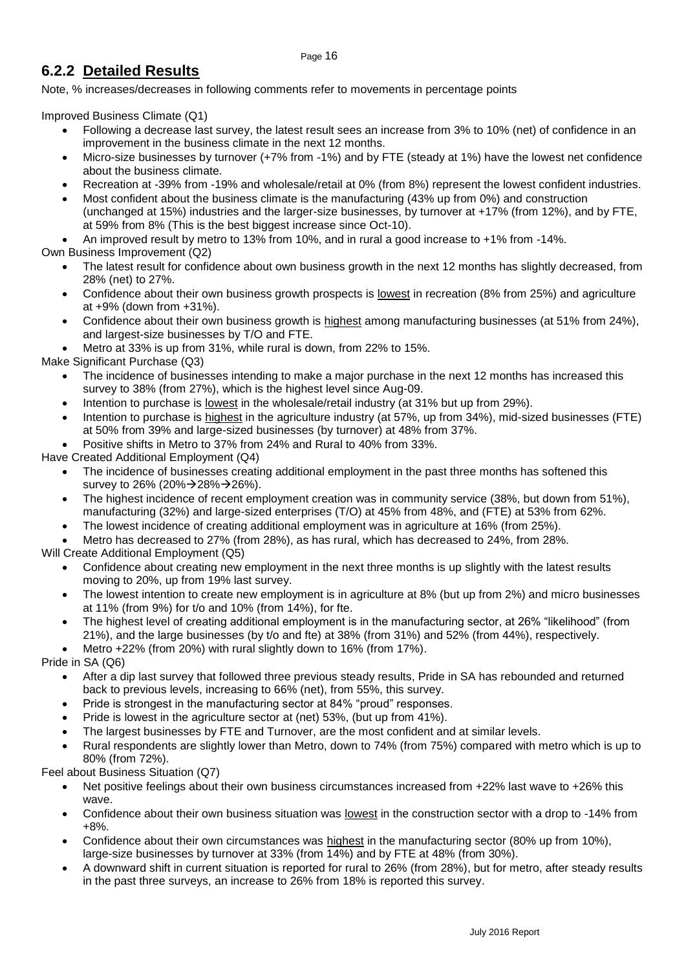### <span id="page-15-0"></span>**6.2.2 Detailed Results**

Note, % increases/decreases in following comments refer to movements in percentage points

Improved Business Climate (Q1)

- Following a decrease last survey, the latest result sees an increase from 3% to 10% (net) of confidence in an improvement in the business climate in the next 12 months.
- Micro-size businesses by turnover (+7% from -1%) and by FTE (steady at 1%) have the lowest net confidence about the business climate.
- Recreation at -39% from -19% and wholesale/retail at 0% (from 8%) represent the lowest confident industries.
- Most confident about the business climate is the manufacturing (43% up from 0%) and construction (unchanged at 15%) industries and the larger-size businesses, by turnover at +17% (from 12%), and by FTE, at 59% from 8% (This is the best biggest increase since Oct-10).
- An improved result by metro to 13% from 10%, and in rural a good increase to +1% from -14%.

Own Business Improvement (Q2)

- The latest result for confidence about own business growth in the next 12 months has slightly decreased, from 28% (net) to 27%.
- Confidence about their own business growth prospects is lowest in recreation (8% from 25%) and agriculture at +9% (down from +31%).
- Confidence about their own business growth is highest among manufacturing businesses (at 51% from 24%), and largest-size businesses by T/O and FTE.
- Metro at 33% is up from 31%, while rural is down, from 22% to 15%.

Make Significant Purchase (Q3)

- The incidence of businesses intending to make a major purchase in the next 12 months has increased this survey to 38% (from 27%), which is the highest level since Aug-09.
- Intention to purchase is lowest in the wholesale/retail industry (at 31% but up from 29%).
- Intention to purchase is highest in the agriculture industry (at 57%, up from 34%), mid-sized businesses (FTE) at 50% from 39% and large-sized businesses (by turnover) at 48% from 37%.
- Positive shifts in Metro to 37% from 24% and Rural to 40% from 33%.

Have Created Additional Employment (Q4)

- The incidence of businesses creating additional employment in the past three months has softened this survey to 26% (20% $\rightarrow$  28% $\rightarrow$  26%).
- The highest incidence of recent employment creation was in community service (38%, but down from 51%), manufacturing (32%) and large-sized enterprises (T/O) at 45% from 48%, and (FTE) at 53% from 62%.
- The lowest incidence of creating additional employment was in agriculture at 16% (from 25%).
- Metro has decreased to 27% (from 28%), as has rural, which has decreased to 24%, from 28%.

Will Create Additional Employment (Q5)

- Confidence about creating new employment in the next three months is up slightly with the latest results moving to 20%, up from 19% last survey.
- The lowest intention to create new employment is in agriculture at 8% (but up from 2%) and micro businesses at 11% (from 9%) for t/o and 10% (from 14%), for fte.
- The highest level of creating additional employment is in the manufacturing sector, at 26% "likelihood" (from 21%), and the large businesses (by t/o and fte) at 38% (from 31%) and 52% (from 44%), respectively.
- Metro +22% (from 20%) with rural slightly down to 16% (from 17%).

Pride in SA (Q6)

- After a dip last survey that followed three previous steady results, Pride in SA has rebounded and returned back to previous levels, increasing to 66% (net), from 55%, this survey.
- Pride is strongest in the manufacturing sector at 84% "proud" responses.
- Pride is lowest in the agriculture sector at (net) 53%, (but up from 41%).
- The largest businesses by FTE and Turnover, are the most confident and at similar levels.
- Rural respondents are slightly lower than Metro, down to 74% (from 75%) compared with metro which is up to 80% (from 72%).

Feel about Business Situation (Q7)

- Net positive feelings about their own business circumstances increased from +22% last wave to +26% this wave.
- Confidence about their own business situation was lowest in the construction sector with a drop to -14% from +8%.
- Confidence about their own circumstances was highest in the manufacturing sector (80% up from 10%), large-size businesses by turnover at 33% (from 14%) and by FTE at 48% (from 30%).
- A downward shift in current situation is reported for rural to 26% (from 28%), but for metro, after steady results in the past three surveys, an increase to 26% from 18% is reported this survey.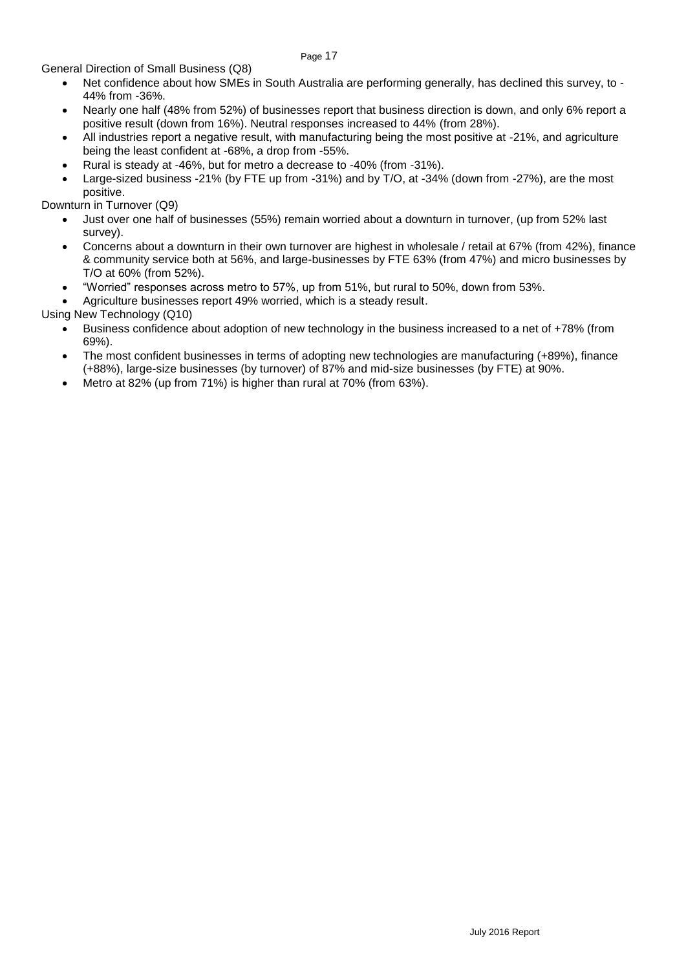General Direction of Small Business (Q8)

 Net confidence about how SMEs in South Australia are performing generally, has declined this survey, to - 44% from -36%.

Page 17

- Nearly one half (48% from 52%) of businesses report that business direction is down, and only 6% report a positive result (down from 16%). Neutral responses increased to 44% (from 28%).
- All industries report a negative result, with manufacturing being the most positive at -21%, and agriculture being the least confident at -68%, a drop from -55%.
- Rural is steady at -46%, but for metro a decrease to -40% (from -31%).
- Large-sized business -21% (by FTE up from -31%) and by T/O, at -34% (down from -27%), are the most positive.

Downturn in Turnover (Q9)

- Just over one half of businesses (55%) remain worried about a downturn in turnover, (up from 52% last survey).
- Concerns about a downturn in their own turnover are highest in wholesale / retail at 67% (from 42%), finance & community service both at 56%, and large-businesses by FTE 63% (from 47%) and micro businesses by T/O at 60% (from 52%).
- "Worried" responses across metro to 57%, up from 51%, but rural to 50%, down from 53%.
- Agriculture businesses report 49% worried, which is a steady result.

Using New Technology (Q10)

- Business confidence about adoption of new technology in the business increased to a net of +78% (from 69%).
- The most confident businesses in terms of adopting new technologies are manufacturing (+89%), finance (+88%), large-size businesses (by turnover) of 87% and mid-size businesses (by FTE) at 90%.
- Metro at 82% (up from 71%) is higher than rural at 70% (from 63%).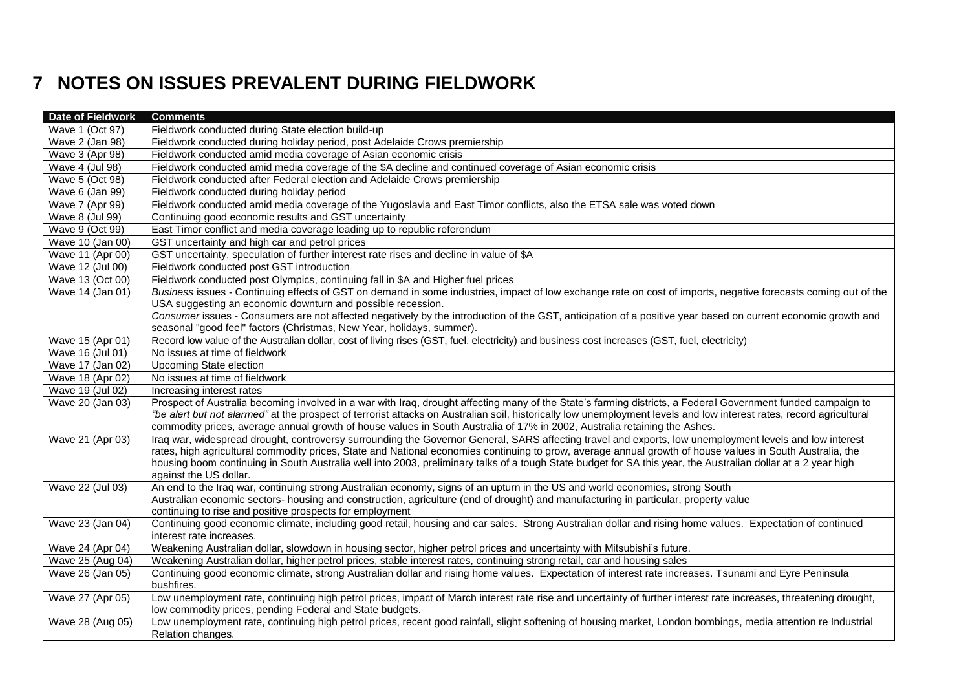# **7 NOTES ON ISSUES PREVALENT DURING FIELDWORK**

<span id="page-17-0"></span>

| Date of Fieldwork | <b>Comments</b>                                                                                                                                                                                                                                                                                                            |
|-------------------|----------------------------------------------------------------------------------------------------------------------------------------------------------------------------------------------------------------------------------------------------------------------------------------------------------------------------|
| Wave 1 (Oct 97)   | Fieldwork conducted during State election build-up                                                                                                                                                                                                                                                                         |
| Wave 2 (Jan 98)   | Fieldwork conducted during holiday period, post Adelaide Crows premiership                                                                                                                                                                                                                                                 |
| Wave 3 (Apr 98)   | Fieldwork conducted amid media coverage of Asian economic crisis                                                                                                                                                                                                                                                           |
| Wave 4 (Jul 98)   | Fieldwork conducted amid media coverage of the \$A decline and continued coverage of Asian economic crisis                                                                                                                                                                                                                 |
| Wave 5 (Oct 98)   | Fieldwork conducted after Federal election and Adelaide Crows premiership                                                                                                                                                                                                                                                  |
| Wave 6 (Jan 99)   | Fieldwork conducted during holiday period                                                                                                                                                                                                                                                                                  |
| Wave 7 (Apr 99)   | Fieldwork conducted amid media coverage of the Yugoslavia and East Timor conflicts, also the ETSA sale was voted down                                                                                                                                                                                                      |
| Wave 8 (Jul 99)   | Continuing good economic results and GST uncertainty                                                                                                                                                                                                                                                                       |
| Wave 9 (Oct 99)   | East Timor conflict and media coverage leading up to republic referendum                                                                                                                                                                                                                                                   |
| Wave 10 (Jan 00)  | GST uncertainty and high car and petrol prices                                                                                                                                                                                                                                                                             |
| Wave 11 (Apr 00)  | GST uncertainty, speculation of further interest rate rises and decline in value of \$A                                                                                                                                                                                                                                    |
| Wave 12 (Jul 00)  | Fieldwork conducted post GST introduction                                                                                                                                                                                                                                                                                  |
| Wave 13 (Oct 00)  | Fieldwork conducted post Olympics, continuing fall in \$A and Higher fuel prices                                                                                                                                                                                                                                           |
| Wave 14 (Jan 01)  | Business issues - Continuing effects of GST on demand in some industries, impact of low exchange rate on cost of imports, negative forecasts coming out of the                                                                                                                                                             |
|                   | USA suggesting an economic downturn and possible recession.                                                                                                                                                                                                                                                                |
|                   | Consumer issues - Consumers are not affected negatively by the introduction of the GST, anticipation of a positive year based on current economic growth and                                                                                                                                                               |
|                   | seasonal "good feel" factors (Christmas, New Year, holidays, summer).                                                                                                                                                                                                                                                      |
| Wave 15 (Apr 01)  | Record low value of the Australian dollar, cost of living rises (GST, fuel, electricity) and business cost increases (GST, fuel, electricity)                                                                                                                                                                              |
| Wave 16 (Jul 01)  | No issues at time of fieldwork                                                                                                                                                                                                                                                                                             |
| Wave 17 (Jan 02)  | <b>Upcoming State election</b>                                                                                                                                                                                                                                                                                             |
| Wave 18 (Apr 02)  | No issues at time of fieldwork                                                                                                                                                                                                                                                                                             |
| Wave 19 (Jul 02)  | Increasing interest rates                                                                                                                                                                                                                                                                                                  |
| Wave 20 (Jan 03)  | Prospect of Australia becoming involved in a war with Iraq, drought affecting many of the State's farming districts, a Federal Government funded campaign to                                                                                                                                                               |
|                   | "be alert but not alarmed" at the prospect of terrorist attacks on Australian soil, historically low unemployment levels and low interest rates, record agricultural                                                                                                                                                       |
|                   | commodity prices, average annual growth of house values in South Australia of 17% in 2002, Australia retaining the Ashes.                                                                                                                                                                                                  |
| Wave 21 (Apr 03)  | Iraq war, widespread drought, controversy surrounding the Governor General, SARS affecting travel and exports, low unemployment levels and low interest                                                                                                                                                                    |
|                   | rates, high agricultural commodity prices, State and National economies continuing to grow, average annual growth of house values in South Australia, the<br>housing boom continuing in South Australia well into 2003, preliminary talks of a tough State budget for SA this year, the Australian dollar at a 2 year high |
|                   | against the US dollar.                                                                                                                                                                                                                                                                                                     |
| Wave 22 (Jul 03)  | An end to the Iraq war, continuing strong Australian economy, signs of an upturn in the US and world economies, strong South                                                                                                                                                                                               |
|                   | Australian economic sectors- housing and construction, agriculture (end of drought) and manufacturing in particular, property value                                                                                                                                                                                        |
|                   | continuing to rise and positive prospects for employment                                                                                                                                                                                                                                                                   |
| Wave 23 (Jan 04)  | Continuing good economic climate, including good retail, housing and car sales. Strong Australian dollar and rising home values. Expectation of continued                                                                                                                                                                  |
|                   | interest rate increases.                                                                                                                                                                                                                                                                                                   |
| Wave 24 (Apr 04)  | Weakening Australian dollar, slowdown in housing sector, higher petrol prices and uncertainty with Mitsubishi's future.                                                                                                                                                                                                    |
| Wave 25 (Aug 04)  | Weakening Australian dollar, higher petrol prices, stable interest rates, continuing strong retail, car and housing sales                                                                                                                                                                                                  |
| Wave 26 (Jan 05)  | Continuing good economic climate, strong Australian dollar and rising home values. Expectation of interest rate increases. Tsunami and Eyre Peninsula                                                                                                                                                                      |
|                   | bushfires.                                                                                                                                                                                                                                                                                                                 |
| Wave 27 (Apr 05)  | Low unemployment rate, continuing high petrol prices, impact of March interest rate rise and uncertainty of further interest rate increases, threatening drought,                                                                                                                                                          |
|                   | low commodity prices, pending Federal and State budgets.                                                                                                                                                                                                                                                                   |
| Wave 28 (Aug 05)  | Low unemployment rate, continuing high petrol prices, recent good rainfall, slight softening of housing market, London bombings, media attention re Industrial                                                                                                                                                             |
|                   | Relation changes.                                                                                                                                                                                                                                                                                                          |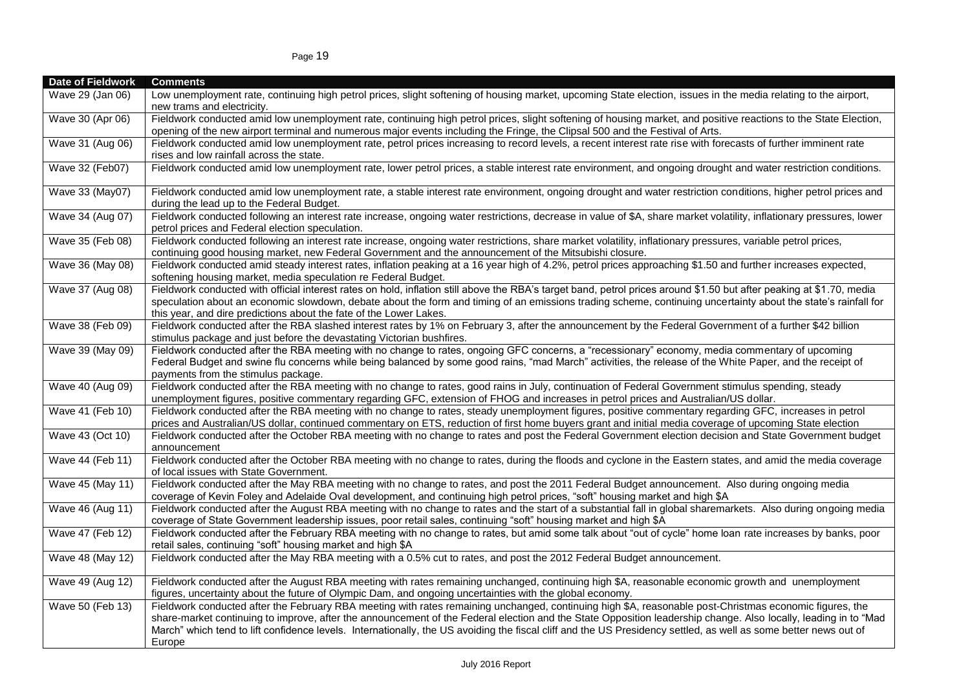| Date of Fieldwork | <b>Comments</b>                                                                                                                                                                                                                 |
|-------------------|---------------------------------------------------------------------------------------------------------------------------------------------------------------------------------------------------------------------------------|
| Wave 29 (Jan 06)  | Low unemployment rate, continuing high petrol prices, slight softening of housing market, upcoming State election, issues in the media relating to the airport,<br>new trams and electricity.                                   |
| Wave 30 (Apr 06)  | Fieldwork conducted amid low unemployment rate, continuing high petrol prices, slight softening of housing market, and positive reactions to the State Election,                                                                |
|                   | opening of the new airport terminal and numerous major events including the Fringe, the Clipsal 500 and the Festival of Arts.                                                                                                   |
| Wave 31 (Aug 06)  | Fieldwork conducted amid low unemployment rate, petrol prices increasing to record levels, a recent interest rate rise with forecasts of further imminent rate                                                                  |
|                   | rises and low rainfall across the state.                                                                                                                                                                                        |
| Wave 32 (Feb07)   | Fieldwork conducted amid low unemployment rate, lower petrol prices, a stable interest rate environment, and ongoing drought and water restriction conditions.                                                                  |
| Wave 33 (May07)   | Fieldwork conducted amid low unemployment rate, a stable interest rate environment, ongoing drought and water restriction conditions, higher petrol prices and<br>during the lead up to the Federal Budget.                     |
| Wave 34 (Aug 07)  | Fieldwork conducted following an interest rate increase, ongoing water restrictions, decrease in value of \$A, share market volatility, inflationary pressures, lower                                                           |
|                   | petrol prices and Federal election speculation.                                                                                                                                                                                 |
| Wave 35 (Feb 08)  | Fieldwork conducted following an interest rate increase, ongoing water restrictions, share market volatility, inflationary pressures, variable petrol prices,                                                                   |
|                   | continuing good housing market, new Federal Government and the announcement of the Mitsubishi closure.                                                                                                                          |
| Wave 36 (May 08)  | Fieldwork conducted amid steady interest rates, inflation peaking at a 16 year high of 4.2%, petrol prices approaching \$1.50 and further increases expected,<br>softening housing market, media speculation re Federal Budget. |
| Wave 37 (Aug 08)  | Fieldwork conducted with official interest rates on hold, inflation still above the RBA's target band, petrol prices around \$1.50 but after peaking at \$1.70, media                                                           |
|                   | speculation about an economic slowdown, debate about the form and timing of an emissions trading scheme, continuing uncertainty about the state's rainfall for                                                                  |
|                   | this year, and dire predictions about the fate of the Lower Lakes.                                                                                                                                                              |
| Wave 38 (Feb 09)  | Fieldwork conducted after the RBA slashed interest rates by 1% on February 3, after the announcement by the Federal Government of a further \$42 billion                                                                        |
|                   | stimulus package and just before the devastating Victorian bushfires.                                                                                                                                                           |
| Wave 39 (May 09)  | Fieldwork conducted after the RBA meeting with no change to rates, ongoing GFC concerns, a "recessionary" economy, media commentary of upcoming                                                                                 |
|                   | Federal Budget and swine flu concerns while being balanced by some good rains, "mad March" activities, the release of the White Paper, and the receipt of                                                                       |
| Wave 40 (Aug 09)  | payments from the stimulus package.<br>Fieldwork conducted after the RBA meeting with no change to rates, good rains in July, continuation of Federal Government stimulus spending, steady                                      |
|                   | unemployment figures, positive commentary regarding GFC, extension of FHOG and increases in petrol prices and Australian/US dollar.                                                                                             |
| Wave 41 (Feb 10)  | Fieldwork conducted after the RBA meeting with no change to rates, steady unemployment figures, positive commentary regarding GFC, increases in petrol                                                                          |
|                   | prices and Australian/US dollar, continued commentary on ETS, reduction of first home buyers grant and initial media coverage of upcoming State election                                                                        |
| Wave 43 (Oct 10)  | Fieldwork conducted after the October RBA meeting with no change to rates and post the Federal Government election decision and State Government budget                                                                         |
|                   | announcement                                                                                                                                                                                                                    |
| Wave 44 (Feb 11)  | Fieldwork conducted after the October RBA meeting with no change to rates, during the floods and cyclone in the Eastern states, and amid the media coverage                                                                     |
|                   | of local issues with State Government.                                                                                                                                                                                          |
| Wave 45 (May 11)  | Fieldwork conducted after the May RBA meeting with no change to rates, and post the 2011 Federal Budget announcement. Also during ongoing media                                                                                 |
|                   | coverage of Kevin Foley and Adelaide Oval development, and continuing high petrol prices, "soft" housing market and high \$A                                                                                                    |
| Wave 46 (Aug 11)  | Fieldwork conducted after the August RBA meeting with no change to rates and the start of a substantial fall in global sharemarkets. Also during ongoing media                                                                  |
|                   | coverage of State Government leadership issues, poor retail sales, continuing "soft" housing market and high \$A                                                                                                                |
| Wave 47 (Feb 12)  | Fieldwork conducted after the February RBA meeting with no change to rates, but amid some talk about "out of cycle" home loan rate increases by banks, poor                                                                     |
|                   | retail sales, continuing "soft" housing market and high \$A                                                                                                                                                                     |
| Wave 48 (May 12)  | Fieldwork conducted after the May RBA meeting with a 0.5% cut to rates, and post the 2012 Federal Budget announcement.                                                                                                          |
| Wave 49 (Aug 12)  | Fieldwork conducted after the August RBA meeting with rates remaining unchanged, continuing high \$A, reasonable economic growth and unemployment                                                                               |
|                   | figures, uncertainty about the future of Olympic Dam, and ongoing uncertainties with the global economy.                                                                                                                        |
| Wave 50 (Feb 13)  | Fieldwork conducted after the February RBA meeting with rates remaining unchanged, continuing high \$A, reasonable post-Christmas economic figures, the                                                                         |
|                   | share-market continuing to improve, after the announcement of the Federal election and the State Opposition leadership change. Also locally, leading in to "Mad                                                                 |
|                   | March" which tend to lift confidence levels. Internationally, the US avoiding the fiscal cliff and the US Presidency settled, as well as some better news out of                                                                |
|                   | Europe                                                                                                                                                                                                                          |